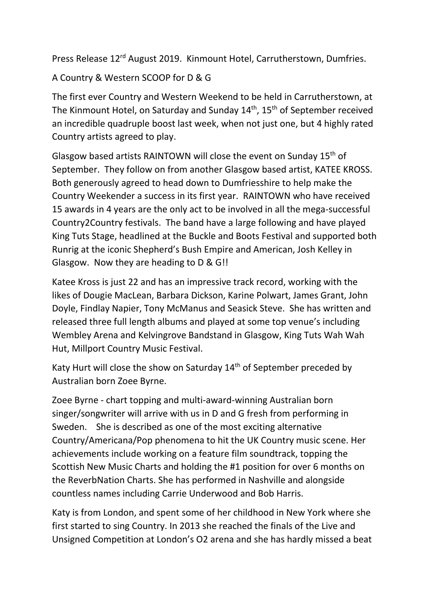Press Release 12<sup>rd</sup> August 2019. Kinmount Hotel, Carrutherstown, Dumfries.

A Country & Western SCOOP for D & G

The first ever Country and Western Weekend to be held in Carrutherstown, at The Kinmount Hotel, on Saturday and Sunday 14<sup>th</sup>, 15<sup>th</sup> of September received an incredible quadruple boost last week, when not just one, but 4 highly rated Country artists agreed to play.

Glasgow based artists RAINTOWN will close the event on Sunday 15th of September. They follow on from another Glasgow based artist, KATEE KROSS. Both generously agreed to head down to Dumfriesshire to help make the Country Weekender a success in its first year. RAINTOWN who have received 15 awards in 4 years are the only act to be involved in all the mega-successful Country2Country festivals. The band have a large following and have played King Tuts Stage, headlined at the Buckle and Boots Festival and supported both Runrig at the iconic Shepherd's Bush Empire and American, Josh Kelley in Glasgow. Now they are heading to D & G!!

Katee Kross is just 22 and has an impressive track record, working with the likes of Dougie MacLean, Barbara Dickson, Karine Polwart, James Grant, John Doyle, Findlay Napier, Tony McManus and Seasick Steve. She has written and released three full length albums and played at some top venue's including Wembley Arena and Kelvingrove Bandstand in Glasgow, King Tuts Wah Wah Hut, Millport Country Music Festival.

Katy Hurt will close the show on Saturday 14<sup>th</sup> of September preceded by Australian born Zoee Byrne.

Zoee Byrne - chart topping and multi-award-winning Australian born singer/songwriter will arrive with us in D and G fresh from performing in Sweden. She is described as one of the most exciting alternative Country/Americana/Pop phenomena to hit the UK Country music scene. Her achievements include working on a feature film soundtrack, topping the Scottish New Music Charts and holding the #1 position for over 6 months on the ReverbNation Charts. She has performed in Nashville and alongside countless names including Carrie Underwood and Bob Harris.

Katy is from London, and spent some of her childhood in New York where she first started to sing Country. In 2013 she reached the finals of the Live and Unsigned Competition at London's O2 arena and she has hardly missed a beat